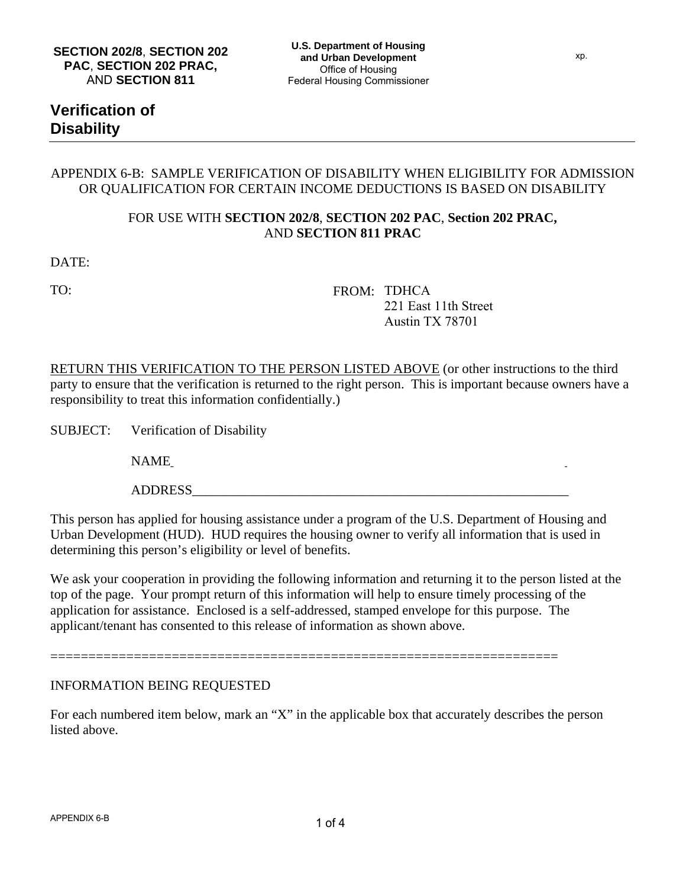# **Verification of Disability**

### APPENDIX 6-B: SAMPLE VERIFICATION OF DISABILITY WHEN ELIGIBILITY FOR ADMISSION OR QUALIFICATION FOR CERTAIN INCOME DEDUCTIONS IS BASED ON DISABILITY

## FOR USE WITH **SECTION 202/8**, **SECTION 202 PAC**, **Section 202 PRAC,** AND **SECTION 811 PRAC**

DATE:

TO: FROM: TDHCA 221 East 11th Street Austin TX 78701

RETURN THIS VERIFICATION TO THE PERSON LISTED ABOVE (or other instructions to the third party to ensure that the verification is returned to the right person. This is important because owners have a responsibility to treat this information confidentially.)

SUBJECT: Verification of Disability

NAME\_\_\_\_\_\_\_\_\_\_\_\_\_\_\_\_\_\_\_\_\_\_\_\_\_\_\_\_\_\_\_\_\_\_\_\_\_\_\_\_\_\_\_\_\_\_\_\_\_\_\_\_\_\_\_\_\_\_\_

ADDRESS

This person has applied for housing assistance under a program of the U.S. Department of Housing and Urban Development (HUD). HUD requires the housing owner to verify all information that is used in determining this person's eligibility or level of benefits.

We ask your cooperation in providing the following information and returning it to the person listed at the top of the page. Your prompt return of this information will help to ensure timely processing of the application for assistance. Enclosed is a self-addressed, stamped envelope for this purpose. The applicant/tenant has consented to this release of information as shown above.

INFORMATION BEING REQUESTED

For each numbered item below, mark an "X" in the applicable box that accurately describes the person listed above.

===================================================================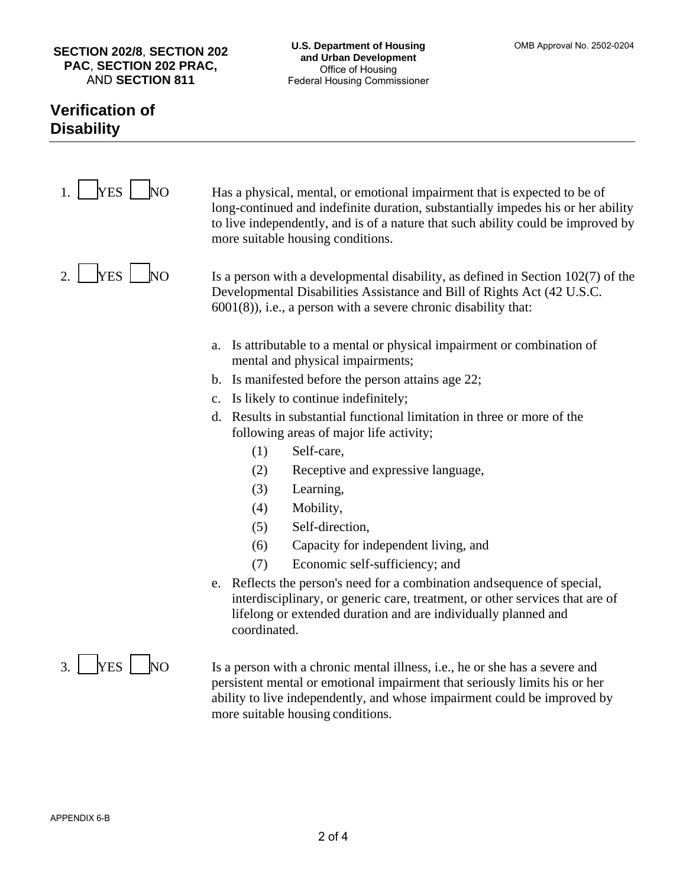### **SECTION 202/8**, **SECTION 202 PAC**, **SECTION 202 PRAC,** AND **SECTION 811**

# **Verification of Disability**

r

| <b>YES</b><br>NO                            | Has a physical, mental, or emotional impairment that is expected to be of<br>long-continued and indefinite duration, substantially impedes his or her ability<br>to live independently, and is of a nature that such ability could be improved by<br>more suitable housing conditions. |
|---------------------------------------------|----------------------------------------------------------------------------------------------------------------------------------------------------------------------------------------------------------------------------------------------------------------------------------------|
| <b>YES</b><br><b>NO</b><br>$\overline{2}$ . | Is a person with a developmental disability, as defined in Section $102(7)$ of the<br>Developmental Disabilities Assistance and Bill of Rights Act (42 U.S.C.<br>$6001(8)$ , i.e., a person with a severe chronic disability that:                                                     |
|                                             | Is attributable to a mental or physical impairment or combination of<br>a.<br>mental and physical impairments;                                                                                                                                                                         |
|                                             | b. Is manifested before the person attains age 22;                                                                                                                                                                                                                                     |
|                                             | c. Is likely to continue indefinitely;                                                                                                                                                                                                                                                 |
|                                             | Results in substantial functional limitation in three or more of the<br>d.<br>following areas of major life activity;                                                                                                                                                                  |
|                                             | Self-care,<br>(1)                                                                                                                                                                                                                                                                      |
|                                             | Receptive and expressive language,<br>(2)                                                                                                                                                                                                                                              |
|                                             | (3)<br>Learning,                                                                                                                                                                                                                                                                       |
|                                             | Mobility,<br>(4)                                                                                                                                                                                                                                                                       |
|                                             | Self-direction,<br>(5)                                                                                                                                                                                                                                                                 |
|                                             | Capacity for independent living, and<br>(6)                                                                                                                                                                                                                                            |
|                                             | (7)<br>Economic self-sufficiency; and                                                                                                                                                                                                                                                  |
|                                             | e. Reflects the person's need for a combination and sequence of special,<br>interdisciplinary, or generic care, treatment, or other services that are of<br>lifelong or extended duration and are individually planned and<br>coordinated.                                             |
|                                             |                                                                                                                                                                                                                                                                                        |

3. <u>NES NO</u> Is a person with a chronic mental illness, i.e., he or she has a severe and persistent mental or emotional impairment that seriously limits his or her ability to live independently, and whose impairment could be improved by more suitable housing conditions.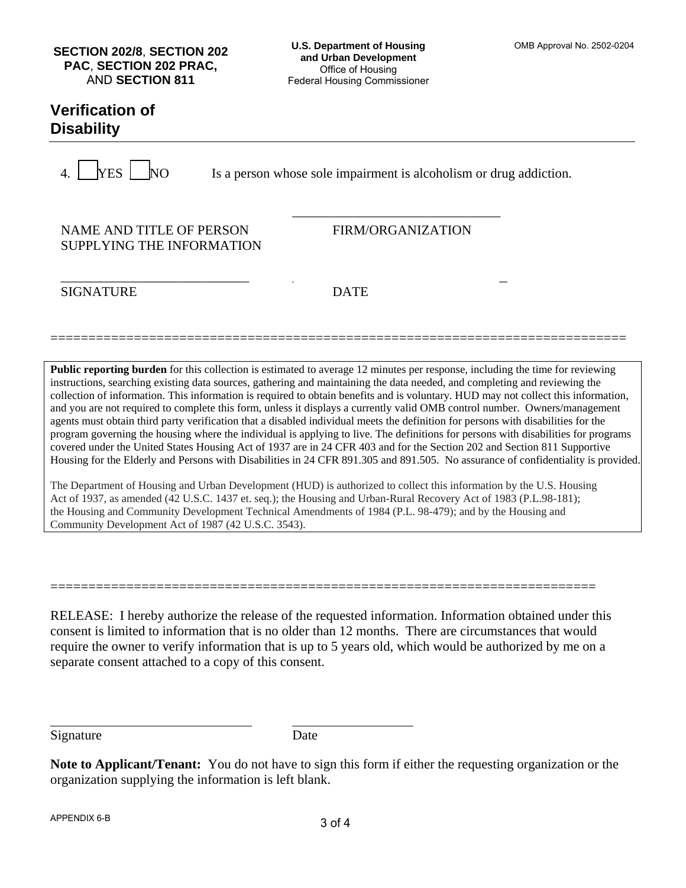### **SECTION 202/8**, **SECTION 202 PAC**, **SECTION 202 PRAC,** AND **SECTION 811**

#### **U.S. Department of Housing and Urban Development**  Office of Housing Federal Housing Commissioner

## **Verification of Disability**

 $\begin{array}{c|c}\n\text{YES} & \text{No} \\
\hline\n\end{array}$  Is a person whose sole impairment is alcoholism or drug addiction.

NAME AND TITLE OF PERSON FIRM/ORGANIZATION SUPPLYING THE INFORMATION

\_\_\_\_\_\_\_\_\_\_\_\_\_\_\_\_\_\_\_\_\_\_\_\_\_\_\_\_ \_\_\_\_\_\_\_\_\_\_\_\_\_\_\_\_\_\_\_\_\_\_\_\_\_\_\_\_\_\_\_\_ SIGNATURE DATE

============================================================================

 $\overline{\phantom{a}}$  , and the contract of the contract of the contract of the contract of the contract of the contract of the contract of the contract of the contract of the contract of the contract of the contract of the contrac

**Public reporting burden** for this collection is estimated to average 12 minutes per response, including the time for reviewing instructions, searching existing data sources, gathering and maintaining the data needed, and completing and reviewing the collection of information. This information is required to obtain benefits and is voluntary. HUD may not collect this information, and you are not required to complete this form, unless it displays a currently valid OMB control number. Owners/management agents must obtain third party verification that a disabled individual meets the definition for persons with disabilities for the program governing the housing where the individual is applying to live. The definitions for persons with disabilities for programs covered under the United States Housing Act of 1937 are in 24 CFR 403 and for the Section 202 and Section 811 Supportive Housing for the Elderly and Persons with Disabilities in 24 CFR 891.305 and 891.505. No assurance of confidentiality is provided.

The Department of Housing and Urban Development (HUD) is authorized to collect this information by the U.S. Housing Act of 1937, as amended (42 U.S.C. 1437 et. seq.); the Housing and Urban-Rural Recovery Act of 1983 (P.L.98-181); the Housing and Community Development Technical Amendments of 1984 (P.L. 98-479); and by the Housing and Community Development Act of 1987 (42 U.S.C. 3543).

========================================================================

RELEASE: I hereby authorize the release of the requested information. Information obtained under this consent is limited to information that is no older than 12 months. There are circumstances that would require the owner to verify information that is up to 5 years old, which would be authorized by me on a separate consent attached to a copy of this consent.

Signature Date

**Note to Applicant/Tenant:** You do not have to sign this form if either the requesting organization or the organization supplying the information is left blank.